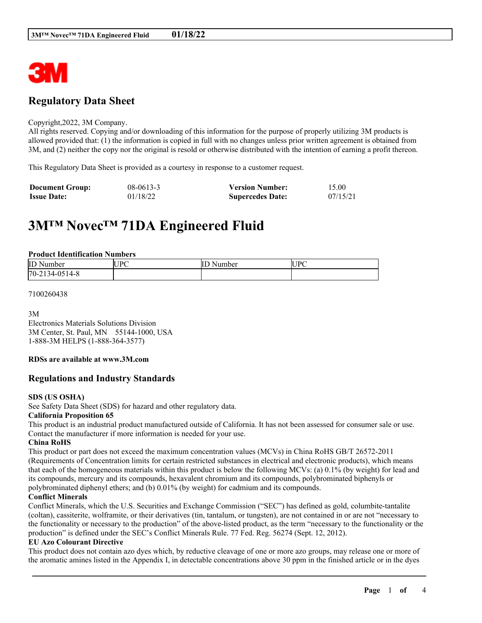

# **Regulatory Data Sheet**

#### Copyright,2022, 3M Company.

All rights reserved. Copying and/or downloading of this information for the purpose of properly utilizing 3M products is allowed provided that: (1) the information is copied in full with no changes unless prior written agreement is obtained from 3M, and (2) neither the copy nor the original is resold or otherwise distributed with the intention of earning a profit thereon.

This Regulatory Data Sheet is provided as a courtesy in response to a customer request.

| <b>Document Group:</b> | $08 - 0613 - 3$ | <b>Version Number:</b>  | 15.00    |
|------------------------|-----------------|-------------------------|----------|
| <b>Issue Date:</b>     | 01/18/22        | <b>Supercedes Date:</b> | 07/15/21 |

# **3M™ Novec™ 71DA Engineered Fluid**

#### **Product Identification Numbers**

| ID<br>√umber<br>м.                                    | IDC<br>-IUF<br>È | Number<br>$\overline{ }$ | UP <sup>7</sup> |
|-------------------------------------------------------|------------------|--------------------------|-----------------|
| $170 - 2$<br>. .<br>$14 - 6$<br>14-е<br>$-1$<br>1 J I |                  |                          |                 |

#### 7100260438

3M

Electronics Materials Solutions Division 3M Center, St. Paul, MN 55144-1000, USA 1-888-3M HELPS (1-888-364-3577)

#### **RDSs are available at www.3M.com**

### **Regulations and Industry Standards**

#### **SDS (US OSHA)**

See Safety Data Sheet (SDS) for hazard and other regulatory data.

#### **California Proposition 65**

This product is an industrial product manufactured outside of California. It has not been assessed for consumer sale or use. Contact the manufacturer if more information is needed for your use.

#### **China RoHS**

This product or part does not exceed the maximum concentration values (MCVs) in China RoHS GB/T 26572-2011 (Requirements of Concentration limits for certain restricted substances in electrical and electronic products), which means that each of the homogeneous materials within this product is below the following MCVs: (a) 0.1% (by weight) for lead and its compounds, mercury and its compounds, hexavalent chromium and its compounds, polybrominated biphenyls or polybrominated diphenyl ethers; and (b) 0.01% (by weight) for cadmium and its compounds.

#### **Conflict Minerals**

Conflict Minerals, which the U.S. Securities and Exchange Commission ("SEC") has defined as gold, columbite-tantalite (coltan), cassiterite, wolframite, or their derivatives (tin, tantalum, or tungsten), are not contained in or are not "necessary to the functionality or necessary to the production" of the above-listed product, as the term "necessary to the functionality or the production" is defined under the SEC's Conflict Minerals Rule. 77 Fed. Reg. 56274 (Sept. 12, 2012).

#### **EU Azo Colourant Directive**

This product does not contain azo dyes which, by reductive cleavage of one or more azo groups, may release one or more of the aromatic amines listed in the Appendix I, in detectable concentrations above 30 ppm in the finished article or in the dyes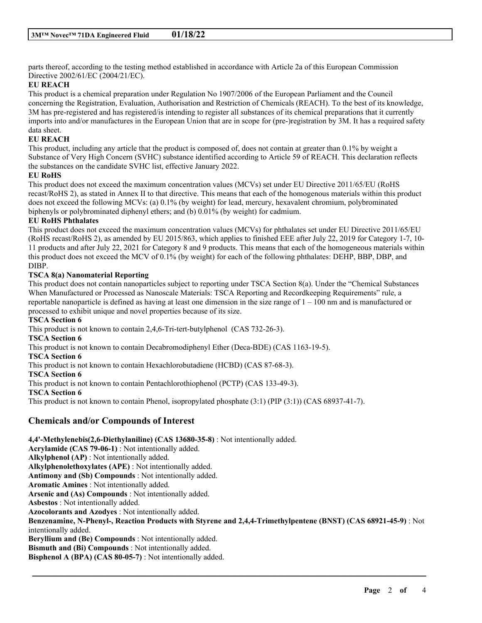parts thereof, according to the testing method established in accordance with Article 2a of this European Commission Directive 2002/61/EC (2004/21/EC).

#### **EU REACH**

This product is a chemical preparation under Regulation No 1907/2006 of the European Parliament and the Council concerning the Registration, Evaluation, Authorisation and Restriction of Chemicals (REACH). To the best of its knowledge, 3M has pre-registered and has registered/is intending to register all substances of its chemical preparations that it currently imports into and/or manufactures in the European Union that are in scope for (pre-)registration by 3M. It has a required safety data sheet.

#### **EU REACH**

This product, including any article that the product is composed of, does not contain at greater than 0.1% by weight a Substance of Very High Concern (SVHC) substance identified according to Article 59 of REACH. This declaration reflects the substances on the candidate SVHC list, effective January 2022.

#### **EU RoHS**

This product does not exceed the maximum concentration values (MCVs) set under EU Directive 2011/65/EU (RoHS recast/RoHS 2), as stated in Annex II to that directive. This means that each of the homogenous materials within this product does not exceed the following MCVs: (a) 0.1% (by weight) for lead, mercury, hexavalent chromium, polybrominated biphenyls or polybrominated diphenyl ethers; and (b) 0.01% (by weight) for cadmium.

#### **EU RoHS Phthalates**

This product does not exceed the maximum concentration values (MCVs) for phthalates set under EU Directive 2011/65/EU (RoHS recast/RoHS 2), as amended by EU 2015/863, which applies to finished EEE after July 22, 2019 for Category 1-7, 10- 11 products and after July 22, 2021 for Category 8 and 9 products. This means that each of the homogeneous materials within this product does not exceed the MCV of 0.1% (by weight) for each of the following phthalates: DEHP, BBP, DBP, and DIBP.

#### **TSCA 8(a) Nanomaterial Reporting**

This product does not contain nanoparticles subject to reporting under TSCA Section 8(a). Under the "Chemical Substances When Manufactured or Processed as Nanoscale Materials: TSCA Reporting and Recordkeeping Requirements" rule, a reportable nanoparticle is defined as having at least one dimension in the size range of  $1 - 100$  nm and is manufactured or processed to exhibit unique and novel properties because of its size.

#### **TSCA Section 6**

This product is not known to contain 2,4,6-Tri-tert-butylphenol (CAS 732-26-3).

#### **TSCA Section 6**

This product is not known to contain Decabromodiphenyl Ether (Deca-BDE) (CAS 1163-19-5).

#### **TSCA Section 6**

This product is not known to contain Hexachlorobutadiene (HCBD) (CAS 87-68-3).

#### **TSCA Section 6**

This product is not known to contain Pentachlorothiophenol (PCTP) (CAS 133-49-3).

#### **TSCA Section 6**

This product is not known to contain Phenol, isopropylated phosphate (3:1) (PIP (3:1)) (CAS 68937-41-7).

## **Chemicals and/or Compounds of Interest**

#### **4,4'-Methylenebis(2,6-Diethylaniline) (CAS 13680-35-8)** : Not intentionally added.

**Acrylamide (CAS 79-06-1)** : Not intentionally added. **Alkylphenol (AP)** : Not intentionally added. **Alkylphenolethoxylates (APE)** : Not intentionally added. **Antimony and (Sb) Compounds** : Not intentionally added. **Aromatic Amines** : Not intentionally added. **Arsenic and (As) Compounds** : Not intentionally added. **Asbestos** : Not intentionally added. **Azocolorants and Azodyes** : Not intentionally added. **Benzenamine, N-Phenyl-, Reaction Products with Styrene and 2,4,4-Trimethylpentene (BNST) (CAS 68921-45-9)** : Not intentionally added. **Beryllium and (Be) Compounds** : Not intentionally added. **Bismuth and (Bi) Compounds** : Not intentionally added. **Bisphenol A (BPA) (CAS 80-05-7)** : Not intentionally added.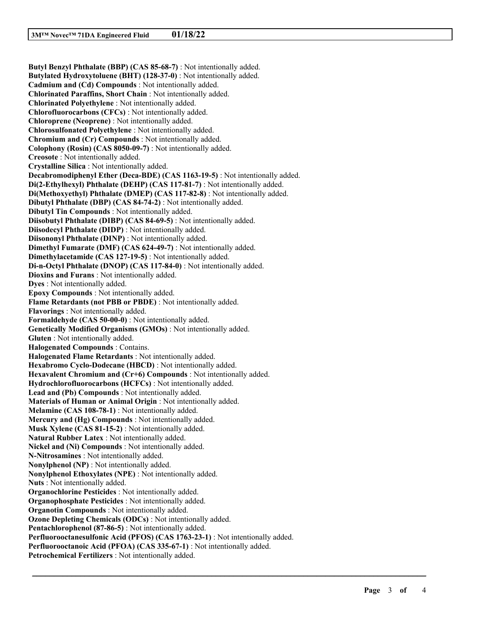**Butyl Benzyl Phthalate (BBP) (CAS 85-68-7)** : Not intentionally added. **Butylated Hydroxytoluene (BHT) (128-37-0)** : Not intentionally added. **Cadmium and (Cd) Compounds** : Not intentionally added. **Chlorinated Paraffins, Short Chain** : Not intentionally added. **Chlorinated Polyethylene** : Not intentionally added. **Chlorofluorocarbons (CFCs)** : Not intentionally added. **Chloroprene (Neoprene)** : Not intentionally added. **Chlorosulfonated Polyethylene** : Not intentionally added. **Chromium and (Cr) Compounds** : Not intentionally added. **Colophony (Rosin) (CAS 8050-09-7)** : Not intentionally added. **Creosote** : Not intentionally added. **Crystalline Silica** : Not intentionally added. **Decabromodiphenyl Ether (Deca-BDE) (CAS 1163-19-5)** : Not intentionally added. **Di(2-Ethylhexyl) Phthalate (DEHP) (CAS 117-81-7)** : Not intentionally added. **Di(Methoxyethyl) Phthalate (DMEP) (CAS 117-82-8)** : Not intentionally added. **Dibutyl Phthalate (DBP) (CAS 84-74-2)** : Not intentionally added. **Dibutyl Tin Compounds** : Not intentionally added. **Diisobutyl Phthalate (DIBP) (CAS 84-69-5)** : Not intentionally added. **Diisodecyl Phthalate (DIDP)** : Not intentionally added. **Diisononyl Phthalate (DINP)** : Not intentionally added. **Dimethyl Fumarate (DMF) (CAS 624-49-7)** : Not intentionally added. **Dimethylacetamide (CAS 127-19-5)** : Not intentionally added. **Di-n-Octyl Phthalate (DNOP) (CAS 117-84-0)** : Not intentionally added. **Dioxins and Furans** : Not intentionally added. **Dyes** : Not intentionally added. **Epoxy Compounds** : Not intentionally added. **Flame Retardants (not PBB or PBDE)** : Not intentionally added. **Flavorings** : Not intentionally added. **Formaldehyde (CAS 50-00-0)** : Not intentionally added. **Genetically Modified Organisms (GMOs)** : Not intentionally added. **Gluten** : Not intentionally added. **Halogenated Compounds** : Contains. **Halogenated Flame Retardants** : Not intentionally added. **Hexabromo Cyclo-Dodecane (HBCD)** : Not intentionally added. **Hexavalent Chromium and (Cr+6) Compounds** : Not intentionally added. **Hydrochlorofluorocarbons (HCFCs)** : Not intentionally added. **Lead and (Pb) Compounds** : Not intentionally added. **Materials of Human or Animal Origin** : Not intentionally added. **Melamine (CAS 108-78-1)** : Not intentionally added. **Mercury and (Hg) Compounds** : Not intentionally added. **Musk Xylene (CAS 81-15-2)** : Not intentionally added. **Natural Rubber Latex** : Not intentionally added. **Nickel and (Ni) Compounds** : Not intentionally added. **N-Nitrosamines** : Not intentionally added. **Nonylphenol (NP)** : Not intentionally added. **Nonylphenol Ethoxylates (NPE)** : Not intentionally added. **Nuts** : Not intentionally added. **Organochlorine Pesticides** : Not intentionally added. **Organophosphate Pesticides** : Not intentionally added. **Organotin Compounds** : Not intentionally added. **Ozone Depleting Chemicals (ODCs)** : Not intentionally added. **Pentachlorophenol (87-86-5)** : Not intentionally added. **Perfluorooctanesulfonic Acid (PFOS) (CAS 1763-23-1)** : Not intentionally added. **Perfluorooctanoic Acid (PFOA) (CAS 335-67-1)** : Not intentionally added. **Petrochemical Fertilizers** : Not intentionally added.